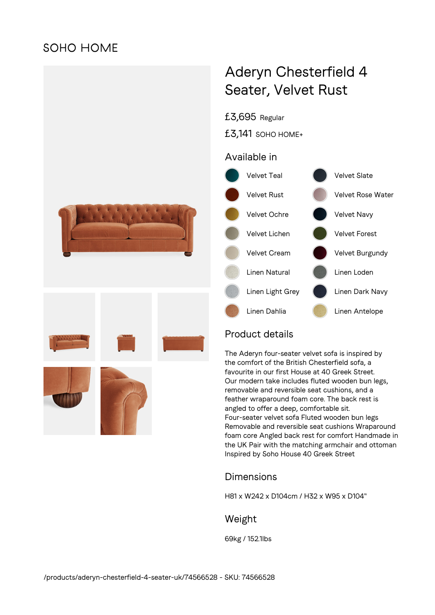# **SOHO HOME**



# Aderyn Chesterfield 4 Seater, Velvet Rust

£3,695 Regular

£3,141 SOHO HOME+

### Available in



# Product details

The Aderyn four-seater velvet sofa is inspired by the comfort of the British Chesterfield sofa, a favourite in our first House at 40 Greek Street. Our modern take includes fluted wooden bun legs, removable and reversible seat cushions, and a feather wraparound foam core. The back rest is angled to offer a deep, comfortable sit. Four-seater velvet sofa Fluted wooden bun legs Removable and reversible seat cushions Wraparound foam core Angled back rest for comfort Handmade in the UK Pair with the matching armchair and ottoman Inspired by Soho House 40 Greek Street

# Dimensions

H81 x W242 x D104cm / H32 x W95 x D104"

# Weight

69kg / 152.1lbs